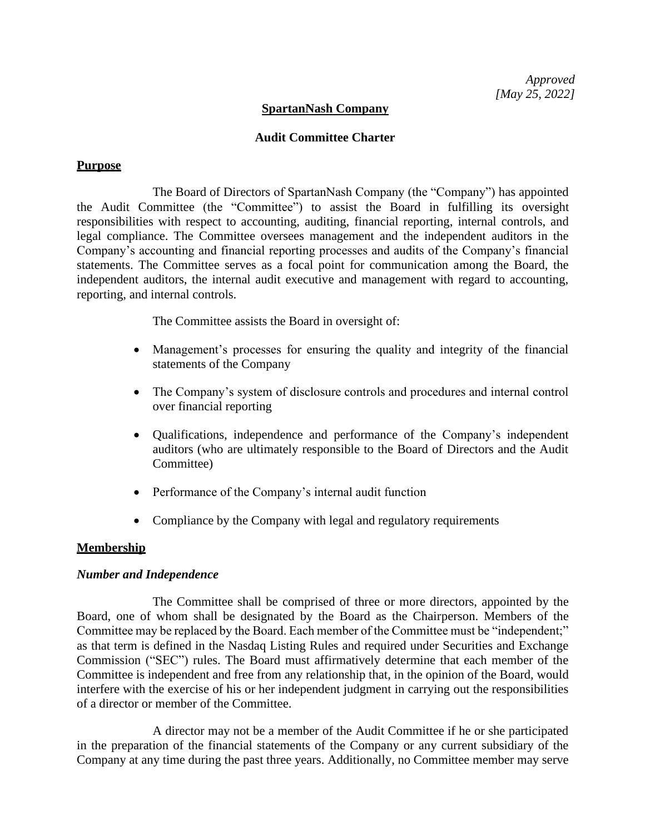## **SpartanNash Company**

### **Audit Committee Charter**

## **Purpose**

The Board of Directors of SpartanNash Company (the "Company") has appointed the Audit Committee (the "Committee") to assist the Board in fulfilling its oversight responsibilities with respect to accounting, auditing, financial reporting, internal controls, and legal compliance. The Committee oversees management and the independent auditors in the Company's accounting and financial reporting processes and audits of the Company's financial statements. The Committee serves as a focal point for communication among the Board, the independent auditors, the internal audit executive and management with regard to accounting, reporting, and internal controls.

The Committee assists the Board in oversight of:

- Management's processes for ensuring the quality and integrity of the financial statements of the Company
- The Company's system of disclosure controls and procedures and internal control over financial reporting
- Qualifications, independence and performance of the Company's independent auditors (who are ultimately responsible to the Board of Directors and the Audit Committee)
- Performance of the Company's internal audit function
- Compliance by the Company with legal and regulatory requirements

# **Membership**

### *Number and Independence*

The Committee shall be comprised of three or more directors, appointed by the Board, one of whom shall be designated by the Board as the Chairperson. Members of the Committee may be replaced by the Board. Each member of the Committee must be "independent;" as that term is defined in the Nasdaq Listing Rules and required under Securities and Exchange Commission ("SEC") rules. The Board must affirmatively determine that each member of the Committee is independent and free from any relationship that, in the opinion of the Board, would interfere with the exercise of his or her independent judgment in carrying out the responsibilities of a director or member of the Committee.

A director may not be a member of the Audit Committee if he or she participated in the preparation of the financial statements of the Company or any current subsidiary of the Company at any time during the past three years. Additionally, no Committee member may serve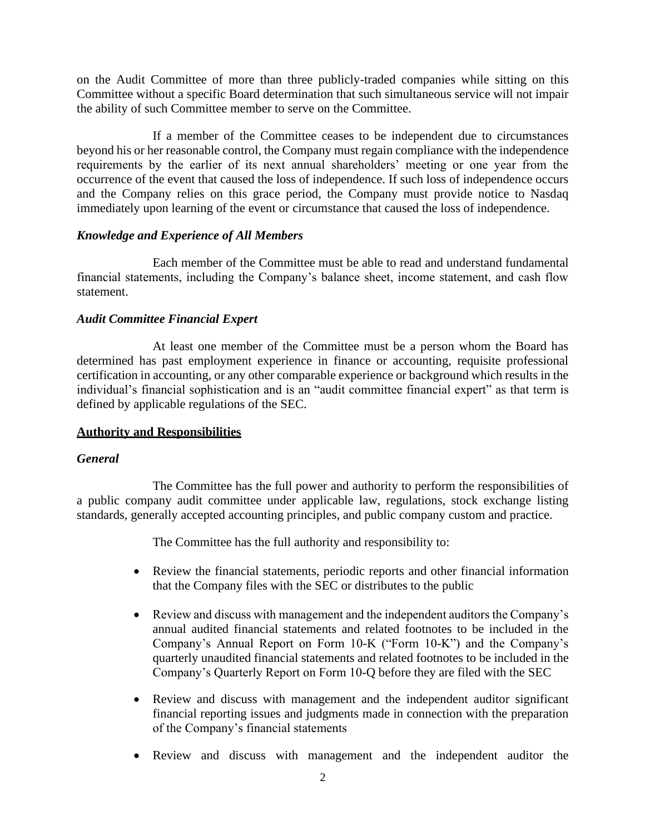on the Audit Committee of more than three publicly-traded companies while sitting on this Committee without a specific Board determination that such simultaneous service will not impair the ability of such Committee member to serve on the Committee.

If a member of the Committee ceases to be independent due to circumstances beyond his or her reasonable control, the Company must regain compliance with the independence requirements by the earlier of its next annual shareholders' meeting or one year from the occurrence of the event that caused the loss of independence. If such loss of independence occurs and the Company relies on this grace period, the Company must provide notice to Nasdaq immediately upon learning of the event or circumstance that caused the loss of independence.

# *Knowledge and Experience of All Members*

Each member of the Committee must be able to read and understand fundamental financial statements, including the Company's balance sheet, income statement, and cash flow statement.

## *Audit Committee Financial Expert*

At least one member of the Committee must be a person whom the Board has determined has past employment experience in finance or accounting, requisite professional certification in accounting, or any other comparable experience or background which results in the individual's financial sophistication and is an "audit committee financial expert" as that term is defined by applicable regulations of the SEC.

# **Authority and Responsibilities**

### *General*

The Committee has the full power and authority to perform the responsibilities of a public company audit committee under applicable law, regulations, stock exchange listing standards, generally accepted accounting principles, and public company custom and practice.

The Committee has the full authority and responsibility to:

- Review the financial statements, periodic reports and other financial information that the Company files with the SEC or distributes to the public
- Review and discuss with management and the independent auditors the Company's annual audited financial statements and related footnotes to be included in the Company's Annual Report on Form 10-K ("Form 10-K") and the Company's quarterly unaudited financial statements and related footnotes to be included in the Company's Quarterly Report on Form 10-Q before they are filed with the SEC
- Review and discuss with management and the independent auditor significant financial reporting issues and judgments made in connection with the preparation of the Company's financial statements
- Review and discuss with management and the independent auditor the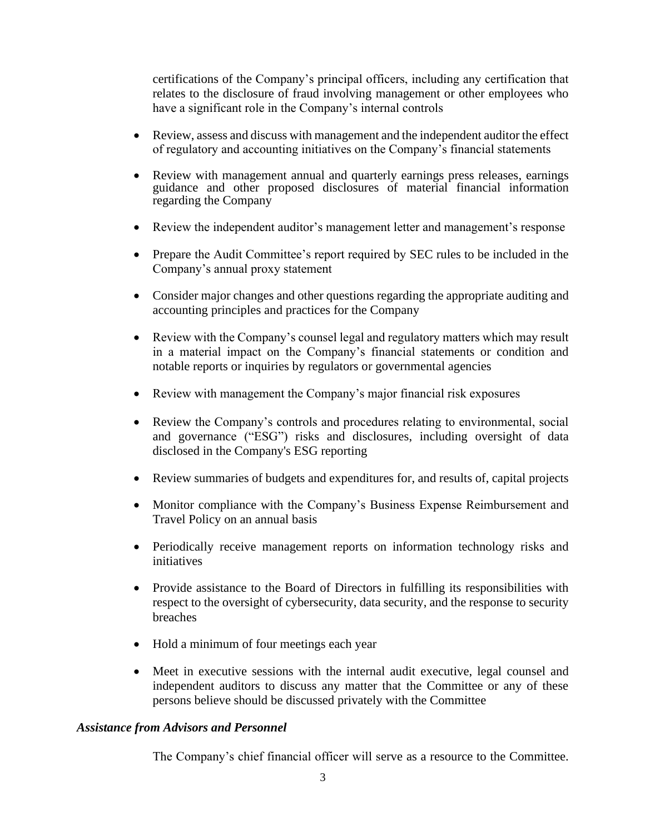certifications of the Company's principal officers, including any certification that relates to the disclosure of fraud involving management or other employees who have a significant role in the Company's internal controls

- Review, assess and discuss with management and the independent auditor the effect of regulatory and accounting initiatives on the Company's financial statements
- Review with management annual and quarterly earnings press releases, earnings guidance and other proposed disclosures of material financial information regarding the Company
- Review the independent auditor's management letter and management's response
- Prepare the Audit Committee's report required by SEC rules to be included in the Company's annual proxy statement
- Consider major changes and other questions regarding the appropriate auditing and accounting principles and practices for the Company
- Review with the Company's counsel legal and regulatory matters which may result in a material impact on the Company's financial statements or condition and notable reports or inquiries by regulators or governmental agencies
- Review with management the Company's major financial risk exposures
- Review the Company's controls and procedures relating to environmental, social and governance ("ESG") risks and disclosures, including oversight of data disclosed in the Company's ESG reporting
- Review summaries of budgets and expenditures for, and results of, capital projects
- Monitor compliance with the Company's Business Expense Reimbursement and Travel Policy on an annual basis
- Periodically receive management reports on information technology risks and initiatives
- Provide assistance to the Board of Directors in fulfilling its responsibilities with respect to the oversight of cybersecurity, data security, and the response to security breaches
- Hold a minimum of four meetings each year
- Meet in executive sessions with the internal audit executive, legal counsel and independent auditors to discuss any matter that the Committee or any of these persons believe should be discussed privately with the Committee

### *Assistance from Advisors and Personnel*

The Company's chief financial officer will serve as a resource to the Committee.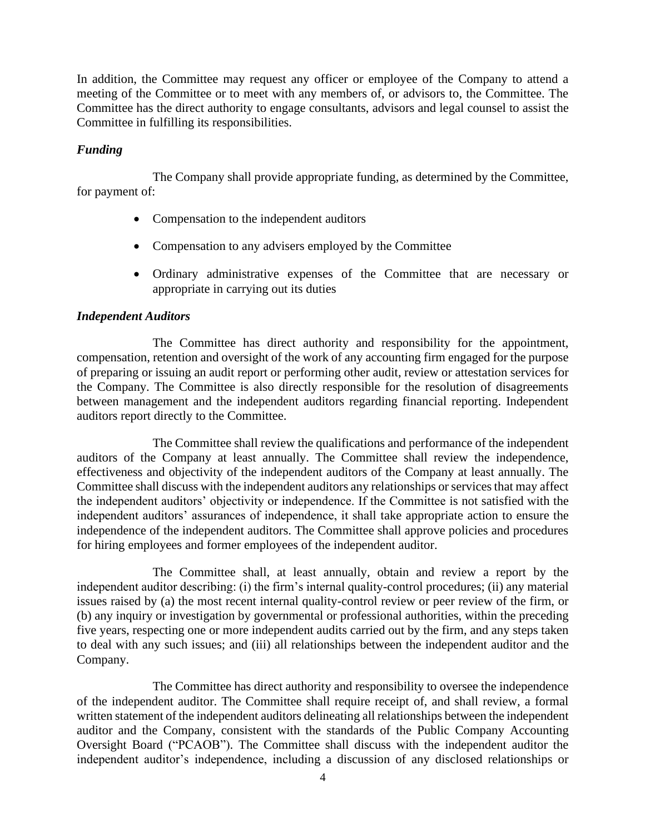In addition, the Committee may request any officer or employee of the Company to attend a meeting of the Committee or to meet with any members of, or advisors to, the Committee. The Committee has the direct authority to engage consultants, advisors and legal counsel to assist the Committee in fulfilling its responsibilities.

# *Funding*

The Company shall provide appropriate funding, as determined by the Committee, for payment of:

- Compensation to the independent auditors
- Compensation to any advisers employed by the Committee
- Ordinary administrative expenses of the Committee that are necessary or appropriate in carrying out its duties

## *Independent Auditors*

The Committee has direct authority and responsibility for the appointment, compensation, retention and oversight of the work of any accounting firm engaged for the purpose of preparing or issuing an audit report or performing other audit, review or attestation services for the Company. The Committee is also directly responsible for the resolution of disagreements between management and the independent auditors regarding financial reporting. Independent auditors report directly to the Committee.

The Committee shall review the qualifications and performance of the independent auditors of the Company at least annually. The Committee shall review the independence, effectiveness and objectivity of the independent auditors of the Company at least annually. The Committee shall discuss with the independent auditors any relationships or services that may affect the independent auditors' objectivity or independence. If the Committee is not satisfied with the independent auditors' assurances of independence, it shall take appropriate action to ensure the independence of the independent auditors. The Committee shall approve policies and procedures for hiring employees and former employees of the independent auditor.

The Committee shall, at least annually, obtain and review a report by the independent auditor describing: (i) the firm's internal quality-control procedures; (ii) any material issues raised by (a) the most recent internal quality-control review or peer review of the firm, or (b) any inquiry or investigation by governmental or professional authorities, within the preceding five years, respecting one or more independent audits carried out by the firm, and any steps taken to deal with any such issues; and (iii) all relationships between the independent auditor and the Company.

The Committee has direct authority and responsibility to oversee the independence of the independent auditor. The Committee shall require receipt of, and shall review, a formal written statement of the independent auditors delineating all relationships between the independent auditor and the Company, consistent with the standards of the Public Company Accounting Oversight Board ("PCAOB"). The Committee shall discuss with the independent auditor the independent auditor's independence, including a discussion of any disclosed relationships or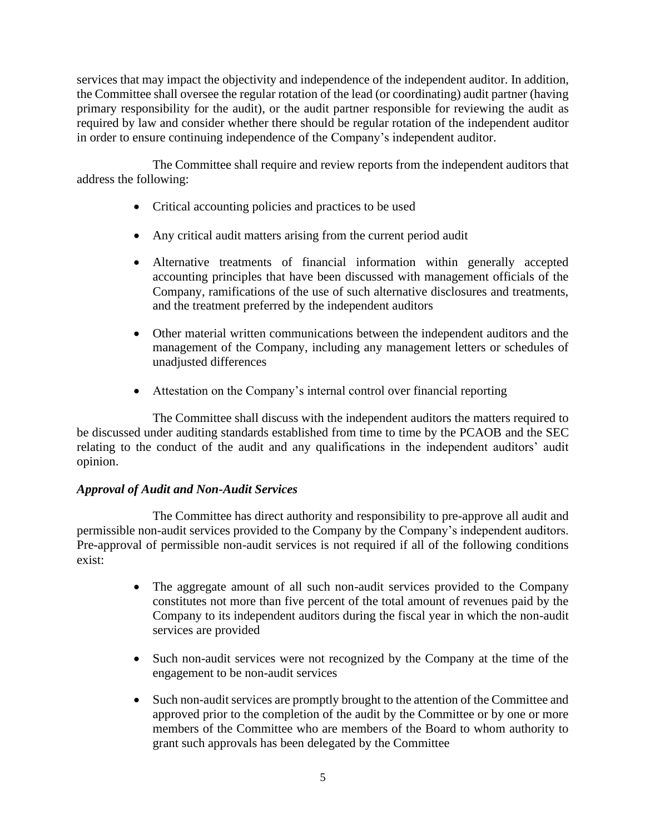services that may impact the objectivity and independence of the independent auditor. In addition, the Committee shall oversee the regular rotation of the lead (or coordinating) audit partner (having primary responsibility for the audit), or the audit partner responsible for reviewing the audit as required by law and consider whether there should be regular rotation of the independent auditor in order to ensure continuing independence of the Company's independent auditor.

The Committee shall require and review reports from the independent auditors that address the following:

- Critical accounting policies and practices to be used
- Any critical audit matters arising from the current period audit
- Alternative treatments of financial information within generally accepted accounting principles that have been discussed with management officials of the Company, ramifications of the use of such alternative disclosures and treatments, and the treatment preferred by the independent auditors
- Other material written communications between the independent auditors and the management of the Company, including any management letters or schedules of unadjusted differences
- Attestation on the Company's internal control over financial reporting

The Committee shall discuss with the independent auditors the matters required to be discussed under auditing standards established from time to time by the PCAOB and the SEC relating to the conduct of the audit and any qualifications in the independent auditors' audit opinion.

# *Approval of Audit and Non-Audit Services*

The Committee has direct authority and responsibility to pre-approve all audit and permissible non-audit services provided to the Company by the Company's independent auditors. Pre-approval of permissible non-audit services is not required if all of the following conditions exist:

- The aggregate amount of all such non-audit services provided to the Company constitutes not more than five percent of the total amount of revenues paid by the Company to its independent auditors during the fiscal year in which the non-audit services are provided
- Such non-audit services were not recognized by the Company at the time of the engagement to be non-audit services
- Such non-audit services are promptly brought to the attention of the Committee and approved prior to the completion of the audit by the Committee or by one or more members of the Committee who are members of the Board to whom authority to grant such approvals has been delegated by the Committee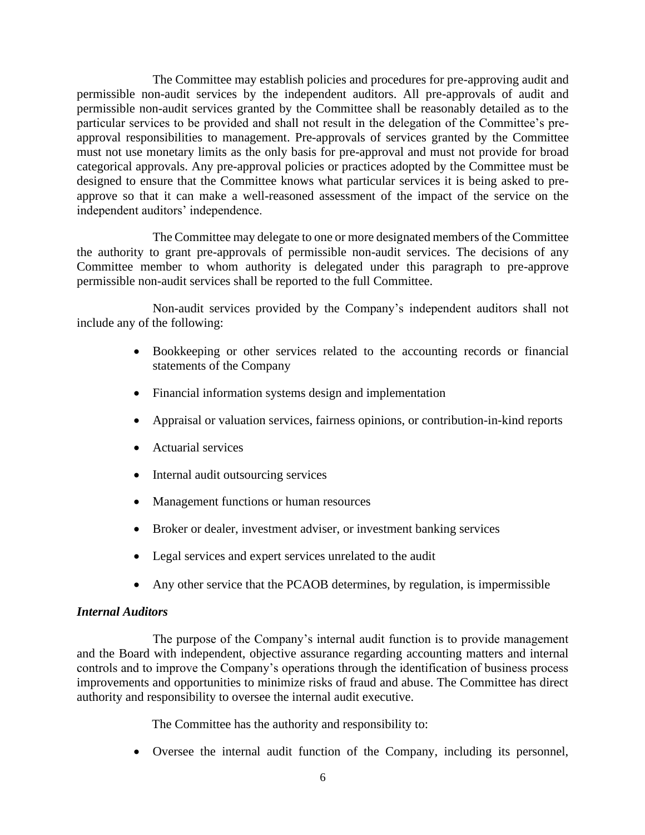The Committee may establish policies and procedures for pre-approving audit and permissible non-audit services by the independent auditors. All pre-approvals of audit and permissible non-audit services granted by the Committee shall be reasonably detailed as to the particular services to be provided and shall not result in the delegation of the Committee's preapproval responsibilities to management. Pre-approvals of services granted by the Committee must not use monetary limits as the only basis for pre-approval and must not provide for broad categorical approvals. Any pre-approval policies or practices adopted by the Committee must be designed to ensure that the Committee knows what particular services it is being asked to preapprove so that it can make a well-reasoned assessment of the impact of the service on the independent auditors' independence.

The Committee may delegate to one or more designated members of the Committee the authority to grant pre-approvals of permissible non-audit services. The decisions of any Committee member to whom authority is delegated under this paragraph to pre-approve permissible non-audit services shall be reported to the full Committee.

Non-audit services provided by the Company's independent auditors shall not include any of the following:

- Bookkeeping or other services related to the accounting records or financial statements of the Company
- Financial information systems design and implementation
- Appraisal or valuation services, fairness opinions, or contribution-in-kind reports
- Actuarial services
- Internal audit outsourcing services
- Management functions or human resources
- Broker or dealer, investment adviser, or investment banking services
- Legal services and expert services unrelated to the audit
- Any other service that the PCAOB determines, by regulation, is impermissible

# *Internal Auditors*

The purpose of the Company's internal audit function is to provide management and the Board with independent, objective assurance regarding accounting matters and internal controls and to improve the Company's operations through the identification of business process improvements and opportunities to minimize risks of fraud and abuse. The Committee has direct authority and responsibility to oversee the internal audit executive.

The Committee has the authority and responsibility to:

• Oversee the internal audit function of the Company, including its personnel,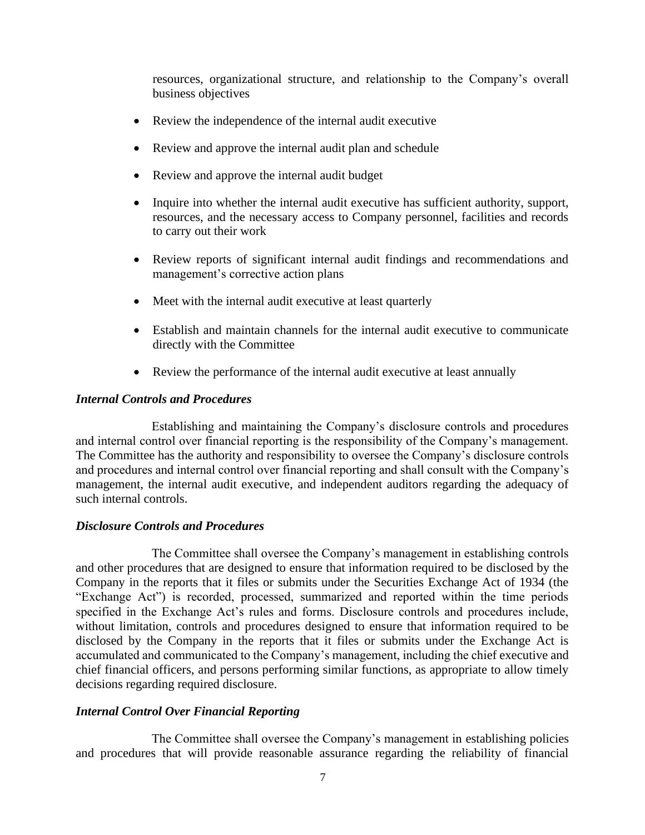resources, organizational structure, and relationship to the Company's overall business objectives

- Review the independence of the internal audit executive
- Review and approve the internal audit plan and schedule
- Review and approve the internal audit budget
- Inquire into whether the internal audit executive has sufficient authority, support, resources, and the necessary access to Company personnel, facilities and records to carry out their work
- Review reports of significant internal audit findings and recommendations and management's corrective action plans
- Meet with the internal audit executive at least quarterly
- Establish and maintain channels for the internal audit executive to communicate directly with the Committee
- Review the performance of the internal audit executive at least annually

### *Internal Controls and Procedures*

Establishing and maintaining the Company's disclosure controls and procedures and internal control over financial reporting is the responsibility of the Company's management. The Committee has the authority and responsibility to oversee the Company's disclosure controls and procedures and internal control over financial reporting and shall consult with the Company's management, the internal audit executive, and independent auditors regarding the adequacy of such internal controls.

### *Disclosure Controls and Procedures*

The Committee shall oversee the Company's management in establishing controls and other procedures that are designed to ensure that information required to be disclosed by the Company in the reports that it files or submits under the Securities Exchange Act of 1934 (the "Exchange Act") is recorded, processed, summarized and reported within the time periods specified in the Exchange Act's rules and forms. Disclosure controls and procedures include, without limitation, controls and procedures designed to ensure that information required to be disclosed by the Company in the reports that it files or submits under the Exchange Act is accumulated and communicated to the Company's management, including the chief executive and chief financial officers, and persons performing similar functions, as appropriate to allow timely decisions regarding required disclosure.

## *Internal Control Over Financial Reporting*

The Committee shall oversee the Company's management in establishing policies and procedures that will provide reasonable assurance regarding the reliability of financial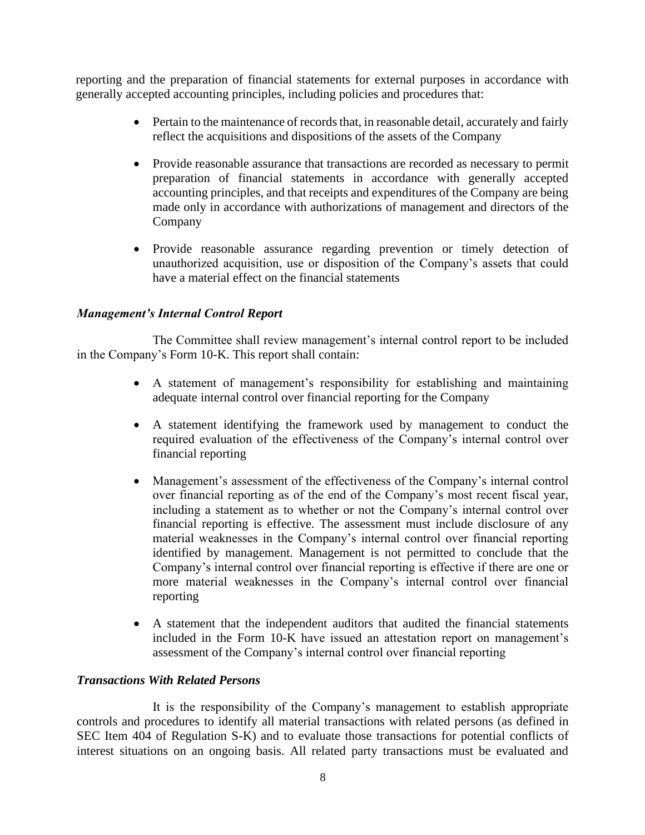reporting and the preparation of financial statements for external purposes in accordance with generally accepted accounting principles, including policies and procedures that:

- Pertain to the maintenance of records that, in reasonable detail, accurately and fairly reflect the acquisitions and dispositions of the assets of the Company
- Provide reasonable assurance that transactions are recorded as necessary to permit preparation of financial statements in accordance with generally accepted accounting principles, and that receipts and expenditures of the Company are being made only in accordance with authorizations of management and directors of the Company
- Provide reasonable assurance regarding prevention or timely detection of unauthorized acquisition, use or disposition of the Company's assets that could have a material effect on the financial statements

# *Management's Internal Control Report*

The Committee shall review management's internal control report to be included in the Company's Form 10-K. This report shall contain:

- A statement of management's responsibility for establishing and maintaining adequate internal control over financial reporting for the Company
- A statement identifying the framework used by management to conduct the required evaluation of the effectiveness of the Company's internal control over financial reporting
- Management's assessment of the effectiveness of the Company's internal control over financial reporting as of the end of the Company's most recent fiscal year, including a statement as to whether or not the Company's internal control over financial reporting is effective. The assessment must include disclosure of any material weaknesses in the Company's internal control over financial reporting identified by management. Management is not permitted to conclude that the Company's internal control over financial reporting is effective if there are one or more material weaknesses in the Company's internal control over financial reporting
- A statement that the independent auditors that audited the financial statements included in the Form 10-K have issued an attestation report on management's assessment of the Company's internal control over financial reporting

# *Transactions With Related Persons*

It is the responsibility of the Company's management to establish appropriate controls and procedures to identify all material transactions with related persons (as defined in SEC Item 404 of Regulation S-K) and to evaluate those transactions for potential conflicts of interest situations on an ongoing basis. All related party transactions must be evaluated and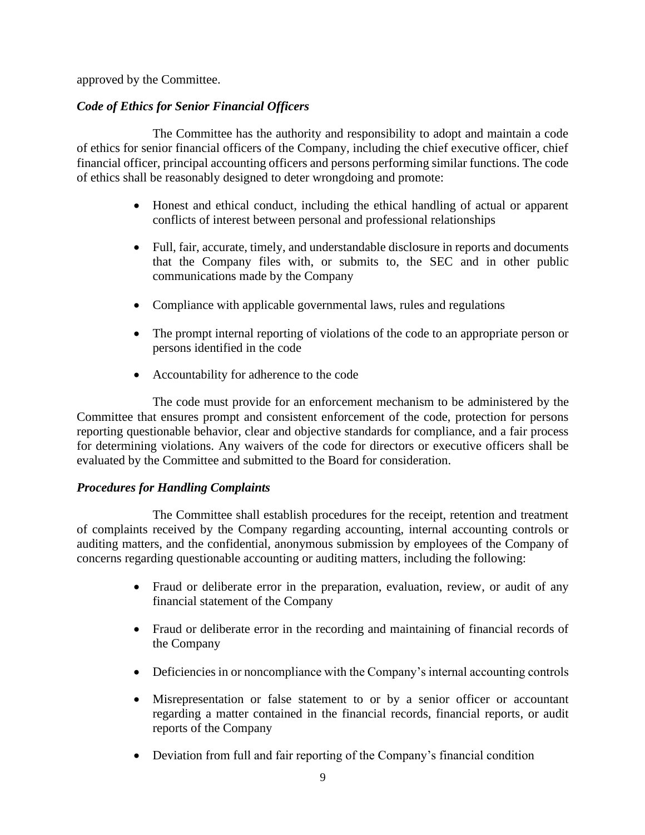approved by the Committee.

# *Code of Ethics for Senior Financial Officers*

The Committee has the authority and responsibility to adopt and maintain a code of ethics for senior financial officers of the Company, including the chief executive officer, chief financial officer, principal accounting officers and persons performing similar functions. The code of ethics shall be reasonably designed to deter wrongdoing and promote:

- Honest and ethical conduct, including the ethical handling of actual or apparent conflicts of interest between personal and professional relationships
- Full, fair, accurate, timely, and understandable disclosure in reports and documents that the Company files with, or submits to, the SEC and in other public communications made by the Company
- Compliance with applicable governmental laws, rules and regulations
- The prompt internal reporting of violations of the code to an appropriate person or persons identified in the code
- Accountability for adherence to the code

The code must provide for an enforcement mechanism to be administered by the Committee that ensures prompt and consistent enforcement of the code, protection for persons reporting questionable behavior, clear and objective standards for compliance, and a fair process for determining violations. Any waivers of the code for directors or executive officers shall be evaluated by the Committee and submitted to the Board for consideration.

# *Procedures for Handling Complaints*

The Committee shall establish procedures for the receipt, retention and treatment of complaints received by the Company regarding accounting, internal accounting controls or auditing matters, and the confidential, anonymous submission by employees of the Company of concerns regarding questionable accounting or auditing matters, including the following:

- Fraud or deliberate error in the preparation, evaluation, review, or audit of any financial statement of the Company
- Fraud or deliberate error in the recording and maintaining of financial records of the Company
- Deficiencies in or noncompliance with the Company's internal accounting controls
- Misrepresentation or false statement to or by a senior officer or accountant regarding a matter contained in the financial records, financial reports, or audit reports of the Company
- Deviation from full and fair reporting of the Company's financial condition